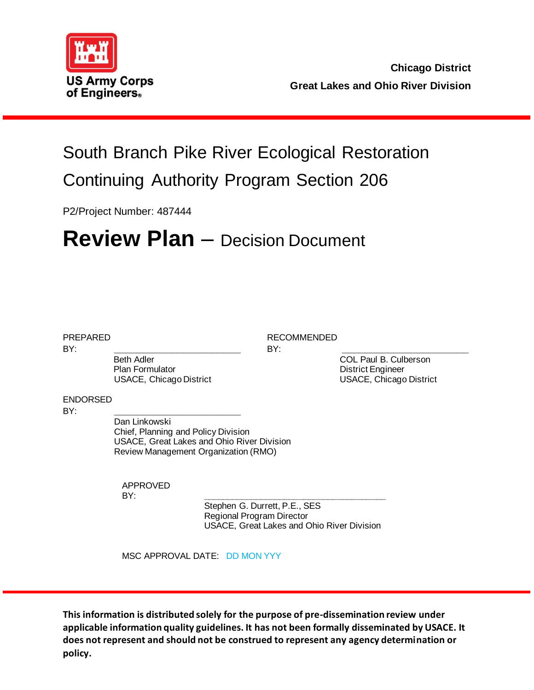

## South Branch Pike River Ecological Restoration Continuing Authority Program Section 206

P2/Project Number: 487444

# **Review Plan** – Decision Document

BY: **\_\_\_\_\_\_\_\_\_\_\_\_\_\_\_\_\_\_\_\_\_\_** BY: **\_\_\_\_\_\_\_\_\_\_\_\_\_\_\_\_\_\_\_\_\_\_** Beth Adler **COL Paul B. Culberson** Plan Formulator **District Engineer** USACE, Chicago District USACE, Chicago District

PREPARED RECOMMENDED

ENDORSED

BY: **\_\_\_\_\_\_\_\_\_\_\_\_\_\_\_\_\_\_\_\_\_\_**

Dan Linkowski Chief, Planning and Policy Division USACE, Great Lakes and Ohio River Division Review Management Organization (RMO)

APPROVED BY: **\_\_\_\_\_\_\_\_\_\_\_\_\_\_\_\_\_\_\_\_\_\_\_\_\_\_\_\_\_\_\_\_\_\_\_\_\_\_**

Stephen G. Durrett, P.E., SES Regional Program Director USACE, Great Lakes and Ohio River Division

MSC APPROVAL DATE: DD MON YYY

**This information is distributed solely for the purpose of pre-dissemination review under applicable information quality guidelines. It has not been formally disseminated by USACE. It does not represent and should not be construed to represent any agency determination or policy.**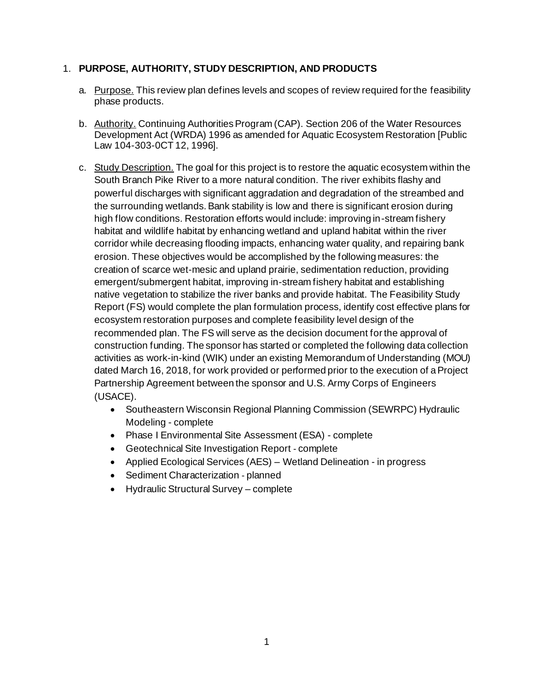#### 1. **PURPOSE, AUTHORITY, STUDY DESCRIPTION, AND PRODUCTS**

- a. Purpose. This review plan defines levels and scopes of review required for the feasibility phase products.
- b. Authority. Continuing Authorities Program (CAP). Section 206 of the Water Resources Development Act (WRDA) 1996 as amended for Aquatic Ecosystem Restoration [Public Law 104-303-0CT 12, 1996].
- c. Study Description. The goal for this project is to restore the aquatic ecosystem within the South Branch Pike River to a more natural condition. The river exhibits flashy and powerful discharges with significant aggradation and degradation of the streambed and the surrounding wetlands. Bank stability is low and there is significant erosion during high flow conditions. Restoration efforts would include: improving in-stream fishery habitat and wildlife habitat by enhancing wetland and upland habitat within the river corridor while decreasing flooding impacts, enhancing water quality, and repairing bank erosion. These objectives would be accomplished by the following measures: the creation of scarce wet-mesic and upland prairie, sedimentation reduction, providing emergent/submergent habitat, improving in-stream fishery habitat and establishing native vegetation to stabilize the river banks and provide habitat. The Feasibility Study Report (FS) would complete the plan formulation process, identify cost effective plans for ecosystem restoration purposes and complete feasibility level design of the recommended plan. The FS will serve as the decision document for the approval of construction funding. The sponsor has started or completed the following data collection activities as work-in-kind (WIK) under an existing Memorandum of Understanding (MOU) dated March 16, 2018, for work provided or performed prior to the execution of a Project Partnership Agreement between the sponsor and U.S. Army Corps of Engineers (USACE).
	- Southeastern Wisconsin Regional Planning Commission (SEWRPC) Hydraulic Modeling - complete
	- Phase I Environmental Site Assessment (ESA) complete
	- Geotechnical Site Investigation Report complete
	- Applied Ecological Services (AES) Wetland Delineation in progress
	- Sediment Characterization planned
	- Hydraulic Structural Survey complete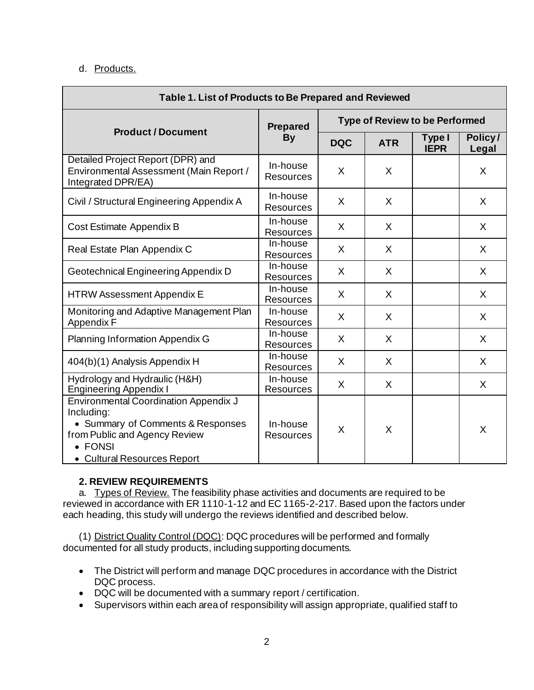#### d. Products.

| Table 1. List of Products to Be Prepared and Reviewed                                                                                                                      |                              |                                       |            |                       |                  |
|----------------------------------------------------------------------------------------------------------------------------------------------------------------------------|------------------------------|---------------------------------------|------------|-----------------------|------------------|
|                                                                                                                                                                            | <b>Prepared</b>              | <b>Type of Review to be Performed</b> |            |                       |                  |
| <b>Product / Document</b>                                                                                                                                                  | <b>By</b>                    | <b>DQC</b>                            | <b>ATR</b> | Type I<br><b>IEPR</b> | Policy/<br>Legal |
| Detailed Project Report (DPR) and<br>Environmental Assessment (Main Report /<br>Integrated DPR/EA)                                                                         | In-house<br><b>Resources</b> | X                                     | X          |                       | X                |
| Civil / Structural Engineering Appendix A                                                                                                                                  | In-house<br><b>Resources</b> | X                                     | X          |                       | X                |
| Cost Estimate Appendix B                                                                                                                                                   | In-house<br><b>Resources</b> | X                                     | X          |                       | X                |
| Real Estate Plan Appendix C                                                                                                                                                | In-house<br><b>Resources</b> | X                                     | X          |                       | X                |
| Geotechnical Engineering Appendix D                                                                                                                                        | In-house<br>Resources        | $\sf X$                               | X          |                       | X                |
| <b>HTRW Assessment Appendix E</b>                                                                                                                                          | In-house<br><b>Resources</b> | X                                     | X          |                       | X                |
| Monitoring and Adaptive Management Plan<br>Appendix F                                                                                                                      | In-house<br><b>Resources</b> | X                                     | X          |                       | X                |
| Planning Information Appendix G                                                                                                                                            | In-house<br><b>Resources</b> | X                                     | X          |                       | X                |
| 404(b)(1) Analysis Appendix H                                                                                                                                              | In-house<br><b>Resources</b> | X                                     | X          |                       | X                |
| Hydrology and Hydraulic (H&H)<br><b>Engineering Appendix I</b>                                                                                                             | In-house<br><b>Resources</b> | $\mathsf{X}$                          | X          |                       | X                |
| <b>Environmental Coordination Appendix J</b><br>Including:<br>• Summary of Comments & Responses<br>from Public and Agency Review<br>• FONSI<br>• Cultural Resources Report | In-house<br><b>Resources</b> | X                                     | X          |                       | X                |

#### **2. REVIEW REQUIREMENTS**

a. Types of Review. The feasibility phase activities and documents are required to be reviewed in accordance with ER 1110-1-12 and EC 1165-2-217. Based upon the factors under each heading, this study will undergo the reviews identified and described below.

(1) District Quality Control (DQC): DQC procedures will be performed and formally documented for all study products, including supporting documents.

- The District will perform and manage DQC procedures in accordance with the District DQC process.
- DQC will be documented with a summary report / certification.
- Supervisors within each area of responsibility will assign appropriate, qualified staff to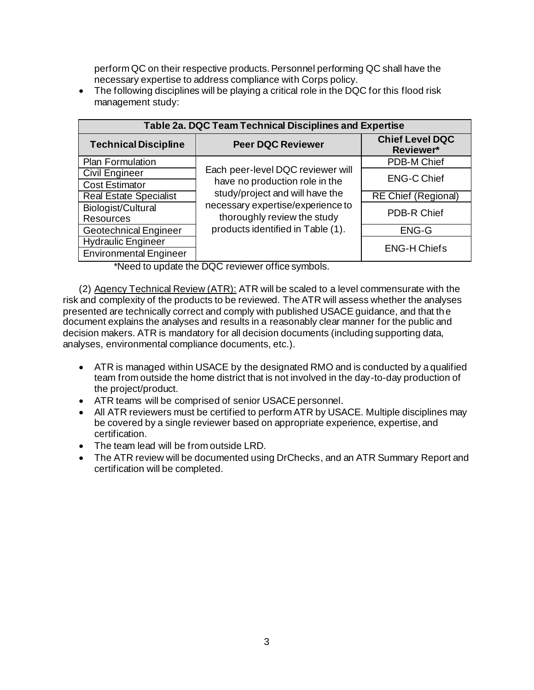perform QC on their respective products. Personnel performing QC shall have the necessary expertise to address compliance with Corps policy.

• The following disciplines will be playing a critical role in the DQC for this flood risk management study:

| Table 2a. DQC Team Technical Disciplines and Expertise |                                   |                                     |  |  |
|--------------------------------------------------------|-----------------------------------|-------------------------------------|--|--|
| <b>Technical Discipline</b>                            | <b>Peer DQC Reviewer</b>          | <b>Chief Level DQC</b><br>Reviewer* |  |  |
| Plan Formulation                                       |                                   | PDB-M Chief                         |  |  |
| <b>Civil Engineer</b>                                  | Each peer-level DQC reviewer will | <b>ENG-C Chief</b>                  |  |  |
| <b>Cost Estimator</b>                                  | have no production role in the    |                                     |  |  |
| <b>Real Estate Specialist</b>                          | study/project and will have the   | <b>RE Chief (Regional)</b>          |  |  |
| Biologist/Cultural                                     | necessary expertise/experience to | PDB-R Chief                         |  |  |
| <b>Resources</b>                                       | thoroughly review the study       |                                     |  |  |
| <b>Geotechnical Engineer</b>                           | products identified in Table (1). | ENG-G                               |  |  |
| <b>Hydraulic Engineer</b>                              |                                   |                                     |  |  |
| <b>Environmental Engineer</b>                          |                                   | <b>ENG-H Chiefs</b>                 |  |  |

\*Need to update the DQC reviewer office symbols.

(2) Agency Technical Review (ATR): ATR will be scaled to a level commensurate with the risk and complexity of the products to be reviewed. The ATR will assess whether the analyses presented are technically correct and comply with published USACE guidance, and that the document explains the analyses and results in a reasonably clear manner for the public and decision makers. ATR is mandatory for all decision documents (including supporting data, analyses, environmental compliance documents, etc.).

- ATR is managed within USACE by the designated RMO and is conducted by a qualified team from outside the home district that is not involved in the day-to-day production of the project/product.
- ATR teams will be comprised of senior USACE personnel.
- All ATR reviewers must be certified to perform ATR by USACE. Multiple disciplines may be covered by a single reviewer based on appropriate experience, expertise, and certification.
- The team lead will be from outside LRD.
- The ATR review will be documented using DrChecks, and an ATR Summary Report and certification will be completed.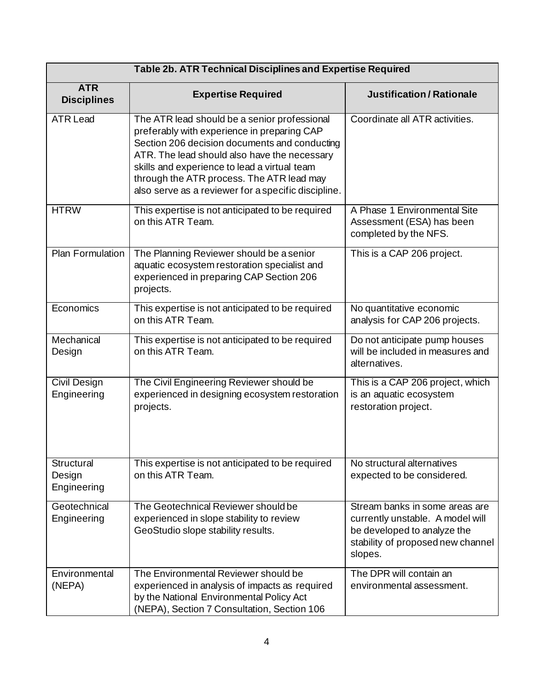| Table 2b. ATR Technical Disciplines and Expertise Required |                                                                                                                                                                                                                                                                                                                                                  |                                                                                                                                                   |  |
|------------------------------------------------------------|--------------------------------------------------------------------------------------------------------------------------------------------------------------------------------------------------------------------------------------------------------------------------------------------------------------------------------------------------|---------------------------------------------------------------------------------------------------------------------------------------------------|--|
| <b>ATR</b><br><b>Disciplines</b>                           | <b>Expertise Required</b>                                                                                                                                                                                                                                                                                                                        | <b>Justification/Rationale</b>                                                                                                                    |  |
| <b>ATR Lead</b>                                            | The ATR lead should be a senior professional<br>preferably with experience in preparing CAP<br>Section 206 decision documents and conducting<br>ATR. The lead should also have the necessary<br>skills and experience to lead a virtual team<br>through the ATR process. The ATR lead may<br>also serve as a reviewer for a specific discipline. | Coordinate all ATR activities.                                                                                                                    |  |
| <b>HTRW</b>                                                | This expertise is not anticipated to be required<br>on this ATR Team.                                                                                                                                                                                                                                                                            | A Phase 1 Environmental Site<br>Assessment (ESA) has been<br>completed by the NFS.                                                                |  |
| Plan Formulation                                           | The Planning Reviewer should be a senior<br>aquatic ecosystem restoration specialist and<br>experienced in preparing CAP Section 206<br>projects.                                                                                                                                                                                                | This is a CAP 206 project.                                                                                                                        |  |
| Economics                                                  | This expertise is not anticipated to be required<br>on this ATR Team.                                                                                                                                                                                                                                                                            | No quantitative economic<br>analysis for CAP 206 projects.                                                                                        |  |
| Mechanical<br>Design                                       | This expertise is not anticipated to be required<br>on this ATR Team.                                                                                                                                                                                                                                                                            | Do not anticipate pump houses<br>will be included in measures and<br>alternatives.                                                                |  |
| Civil Design<br>Engineering                                | The Civil Engineering Reviewer should be<br>experienced in designing ecosystem restoration<br>projects.                                                                                                                                                                                                                                          | This is a CAP 206 project, which<br>is an aquatic ecosystem<br>restoration project.                                                               |  |
| <b>Structural</b><br>Design<br>Engineering                 | This expertise is not anticipated to be required<br>on this ATR Team.                                                                                                                                                                                                                                                                            | No structural alternatives<br>expected to be considered.                                                                                          |  |
| Geotechnical<br>Engineering                                | The Geotechnical Reviewer should be<br>experienced in slope stability to review<br>GeoStudio slope stability results.                                                                                                                                                                                                                            | Stream banks in some areas are<br>currently unstable. A model will<br>be developed to analyze the<br>stability of proposed new channel<br>slopes. |  |
| Environmental<br>(NEPA)                                    | The Environmental Reviewer should be<br>experienced in analysis of impacts as required<br>by the National Environmental Policy Act<br>(NEPA), Section 7 Consultation, Section 106                                                                                                                                                                | The DPR will contain an<br>environmental assessment.                                                                                              |  |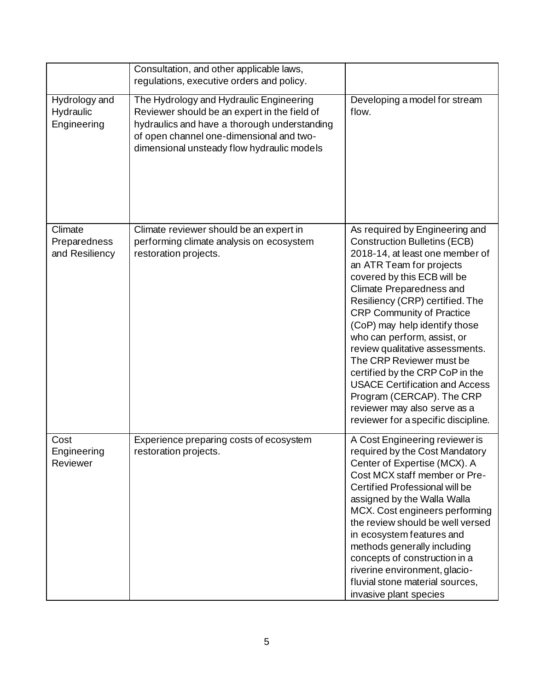|                                           | Consultation, and other applicable laws,<br>regulations, executive orders and policy.                                                                                                                                             |                                                                                                                                                                                                                                                                                                                                                                                                                                                                                                                                                                                       |
|-------------------------------------------|-----------------------------------------------------------------------------------------------------------------------------------------------------------------------------------------------------------------------------------|---------------------------------------------------------------------------------------------------------------------------------------------------------------------------------------------------------------------------------------------------------------------------------------------------------------------------------------------------------------------------------------------------------------------------------------------------------------------------------------------------------------------------------------------------------------------------------------|
| Hydrology and<br>Hydraulic<br>Engineering | The Hydrology and Hydraulic Engineering<br>Reviewer should be an expert in the field of<br>hydraulics and have a thorough understanding<br>of open channel one-dimensional and two-<br>dimensional unsteady flow hydraulic models | Developing a model for stream<br>flow.                                                                                                                                                                                                                                                                                                                                                                                                                                                                                                                                                |
| Climate<br>Preparedness<br>and Resiliency | Climate reviewer should be an expert in<br>performing climate analysis on ecosystem<br>restoration projects.                                                                                                                      | As required by Engineering and<br><b>Construction Bulletins (ECB)</b><br>2018-14, at least one member of<br>an ATR Team for projects<br>covered by this ECB will be<br>Climate Preparedness and<br>Resiliency (CRP) certified. The<br><b>CRP Community of Practice</b><br>(CoP) may help identify those<br>who can perform, assist, or<br>review qualitative assessments.<br>The CRP Reviewer must be<br>certified by the CRP CoP in the<br><b>USACE Certification and Access</b><br>Program (CERCAP). The CRP<br>reviewer may also serve as a<br>reviewer for a specific discipline. |
| Cost<br>Engineering<br>Reviewer           | Experience preparing costs of ecosystem<br>restoration projects.                                                                                                                                                                  | A Cost Engineering reviewer is<br>required by the Cost Mandatory<br>Center of Expertise (MCX). A<br>Cost MCX staff member or Pre-<br>Certified Professional will be<br>assigned by the Walla Walla<br>MCX. Cost engineers performing<br>the review should be well versed<br>in ecosystem features and<br>methods generally including<br>concepts of construction in a<br>riverine environment, glacio-<br>fluvial stone material sources,<br>invasive plant species                                                                                                                   |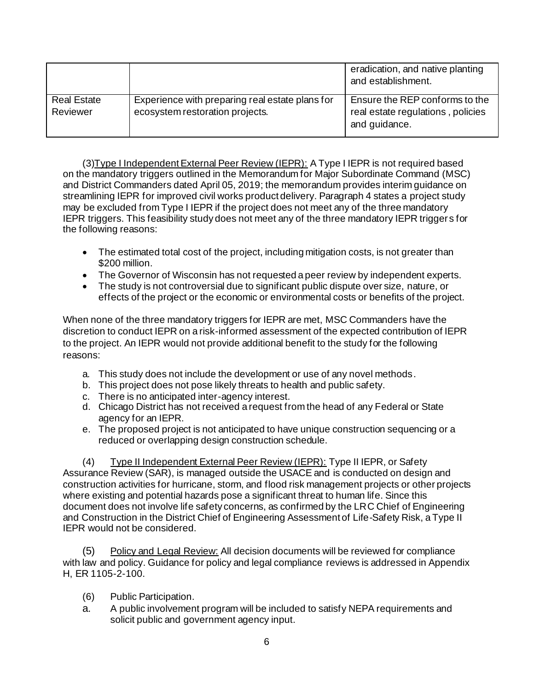|                                |                                                                                    | eradication, and native planting<br>and establishment.                               |
|--------------------------------|------------------------------------------------------------------------------------|--------------------------------------------------------------------------------------|
| <b>Real Estate</b><br>Reviewer | Experience with preparing real estate plans for<br>ecosystem restoration projects. | Ensure the REP conforms to the<br>real estate regulations, policies<br>and guidance. |

(3)Type I Independent External Peer Review (IEPR): A Type I IEPR is not required based on the mandatory triggers outlined in the Memorandum for Major Subordinate Command (MSC) and District Commanders dated April 05, 2019; the memorandum provides interim guidance on streamlining IEPR for improved civil works product delivery. Paragraph 4 states a project study may be excluded from Type I IEPR if the project does not meet any of the three mandatory IEPR triggers. This feasibility study does not meet any of the three mandatory IEPR triggers for the following reasons:

- The estimated total cost of the project, including mitigation costs, is not greater than \$200 million.
- The Governor of Wisconsin has not requested a peer review by independent experts.
- The study is not controversial due to significant public dispute over size, nature, or effects of the project or the economic or environmental costs or benefits of the project.

When none of the three mandatory triggers for IEPR are met, MSC Commanders have the discretion to conduct IEPR on a risk-informed assessment of the expected contribution of IEPR to the project. An IEPR would not provide additional benefit to the study for the following reasons:

- a. This study does not include the development or use of any novel methods.
- b. This project does not pose likely threats to health and public safety.
- c. There is no anticipated inter-agency interest.
- d. Chicago District has not received a request from the head of any Federal or State agency for an IEPR.
- e. The proposed project is not anticipated to have unique construction sequencing or a reduced or overlapping design construction schedule.

(4) Type II Independent External Peer Review (IEPR): Type II IEPR, or Safety Assurance Review (SAR), is managed outside the USACE and is conducted on design and construction activities for hurricane, storm, and flood risk management projects or other projects where existing and potential hazards pose a significant threat to human life. Since this document does not involve life safety concerns, as confirmed by the LRC Chief of Engineering and Construction in the District Chief of Engineering Assessment of Life-Safety Risk, a Type II IEPR would not be considered.

(5) Policy and Legal Review: All decision documents will be reviewed for compliance with law and policy. Guidance for policy and legal compliance reviews is addressed in Appendix H, ER 1105-2-100.

- (6) Public Participation.
- a. A public involvement program will be included to satisfy NEPA requirements and solicit public and government agency input.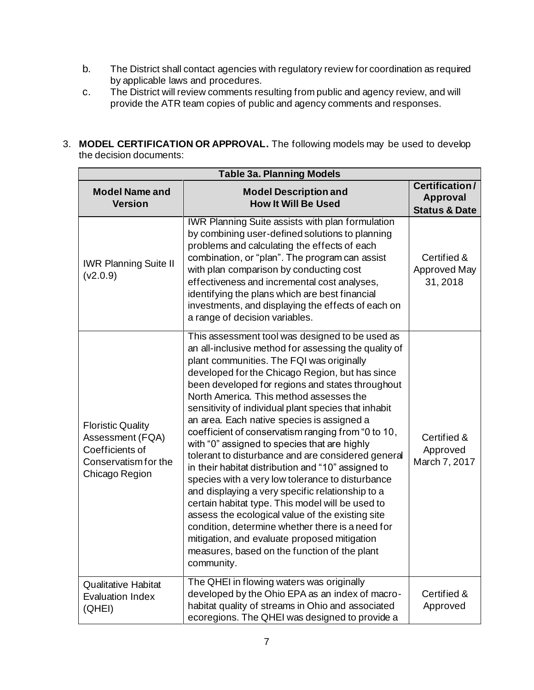- b. The District shall contact agencies with regulatory review for coordination as required by applicable laws and procedures.
- c. The District will review comments resulting from public and agency review, and will provide the ATR team copies of public and agency comments and responses.
- 3. **MODEL CERTIFICATION OR APPROVAL.** The following models may be used to develop the decision documents:

| <b>Table 3a. Planning Models</b>                                                                          |                                                                                                                                                                                                                                                                                                                                                                                                                                                                                                                                                                                                                                                                                                                                                                                                                                                                                                                                                                                                                  |                                                               |  |
|-----------------------------------------------------------------------------------------------------------|------------------------------------------------------------------------------------------------------------------------------------------------------------------------------------------------------------------------------------------------------------------------------------------------------------------------------------------------------------------------------------------------------------------------------------------------------------------------------------------------------------------------------------------------------------------------------------------------------------------------------------------------------------------------------------------------------------------------------------------------------------------------------------------------------------------------------------------------------------------------------------------------------------------------------------------------------------------------------------------------------------------|---------------------------------------------------------------|--|
| <b>Model Name and</b><br><b>Version</b>                                                                   | <b>Model Description and</b><br><b>How It Will Be Used</b>                                                                                                                                                                                                                                                                                                                                                                                                                                                                                                                                                                                                                                                                                                                                                                                                                                                                                                                                                       | <b>Certification/</b><br>Approval<br><b>Status &amp; Date</b> |  |
| <b>IWR Planning Suite II</b><br>(v2.0.9)                                                                  | <b>IWR Planning Suite assists with plan formulation</b><br>by combining user-defined solutions to planning<br>problems and calculating the effects of each<br>combination, or "plan". The program can assist<br>with plan comparison by conducting cost<br>effectiveness and incremental cost analyses,<br>identifying the plans which are best financial<br>investments, and displaying the effects of each on<br>a range of decision variables.                                                                                                                                                                                                                                                                                                                                                                                                                                                                                                                                                                | Certified &<br><b>Approved May</b><br>31, 2018                |  |
| <b>Floristic Quality</b><br>Assessment (FQA)<br>Coefficients of<br>Conservatism for the<br>Chicago Region | This assessment tool was designed to be used as<br>an all-inclusive method for assessing the quality of<br>plant communities. The FQI was originally<br>developed for the Chicago Region, but has since<br>been developed for regions and states throughout<br>North America. This method assesses the<br>sensitivity of individual plant species that inhabit<br>an area. Each native species is assigned a<br>coefficient of conservatism ranging from "0 to 10,<br>with "0" assigned to species that are highly<br>tolerant to disturbance and are considered general<br>in their habitat distribution and "10" assigned to<br>species with a very low tolerance to disturbance<br>and displaying a very specific relationship to a<br>certain habitat type. This model will be used to<br>assess the ecological value of the existing site<br>condition, determine whether there is a need for<br>mitigation, and evaluate proposed mitigation<br>measures, based on the function of the plant<br>community. | Certified &<br>Approved<br>March 7, 2017                      |  |
| <b>Qualitative Habitat</b><br><b>Evaluation Index</b><br>(QHEI)                                           | The QHEI in flowing waters was originally<br>developed by the Ohio EPA as an index of macro-<br>habitat quality of streams in Ohio and associated<br>ecoregions. The QHEI was designed to provide a                                                                                                                                                                                                                                                                                                                                                                                                                                                                                                                                                                                                                                                                                                                                                                                                              | Certified &<br>Approved                                       |  |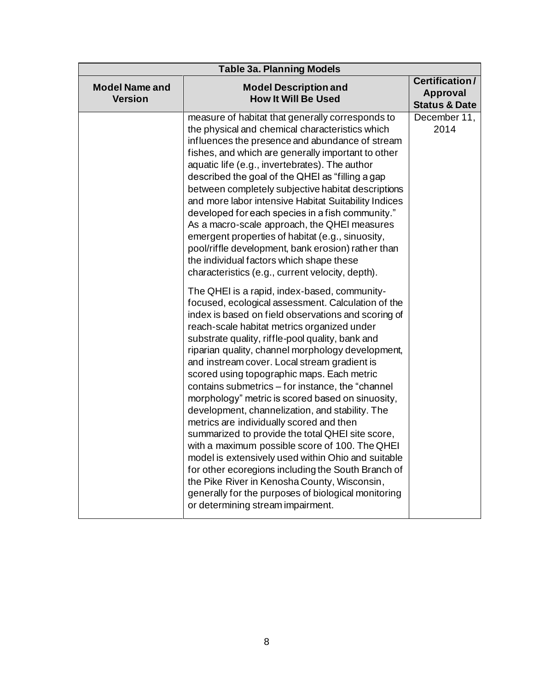| <b>Table 3a. Planning Models</b>        |                                                                                                                                                                                                                                                                                                                                                                                                                                                                                                                                                                                                                                                                                                                                                                                                                                                                                                                                                                                      |                                                               |  |
|-----------------------------------------|--------------------------------------------------------------------------------------------------------------------------------------------------------------------------------------------------------------------------------------------------------------------------------------------------------------------------------------------------------------------------------------------------------------------------------------------------------------------------------------------------------------------------------------------------------------------------------------------------------------------------------------------------------------------------------------------------------------------------------------------------------------------------------------------------------------------------------------------------------------------------------------------------------------------------------------------------------------------------------------|---------------------------------------------------------------|--|
| <b>Model Name and</b><br><b>Version</b> | <b>Model Description and</b><br><b>How It Will Be Used</b>                                                                                                                                                                                                                                                                                                                                                                                                                                                                                                                                                                                                                                                                                                                                                                                                                                                                                                                           | Certification/<br><b>Approval</b><br><b>Status &amp; Date</b> |  |
|                                         | measure of habitat that generally corresponds to<br>the physical and chemical characteristics which<br>influences the presence and abundance of stream<br>fishes, and which are generally important to other<br>aquatic life (e.g., invertebrates). The author<br>described the goal of the QHEI as "filling a gap<br>between completely subjective habitat descriptions<br>and more labor intensive Habitat Suitability Indices<br>developed for each species in a fish community."<br>As a macro-scale approach, the QHEI measures<br>emergent properties of habitat (e.g., sinuosity,<br>pool/riffle development, bank erosion) rather than<br>the individual factors which shape these<br>characteristics (e.g., current velocity, depth).                                                                                                                                                                                                                                       | December 11,<br>2014                                          |  |
|                                         | The QHEI is a rapid, index-based, community-<br>focused, ecological assessment. Calculation of the<br>index is based on field observations and scoring of<br>reach-scale habitat metrics organized under<br>substrate quality, riffle-pool quality, bank and<br>riparian quality, channel morphology development,<br>and instream cover. Local stream gradient is<br>scored using topographic maps. Each metric<br>contains submetrics - for instance, the "channel<br>morphology" metric is scored based on sinuosity,<br>development, channelization, and stability. The<br>metrics are individually scored and then<br>summarized to provide the total QHEI site score,<br>with a maximum possible score of 100. The QHEI<br>model is extensively used within Ohio and suitable<br>for other ecoregions including the South Branch of<br>the Pike River in Kenosha County, Wisconsin,<br>generally for the purposes of biological monitoring<br>or determining stream impairment. |                                                               |  |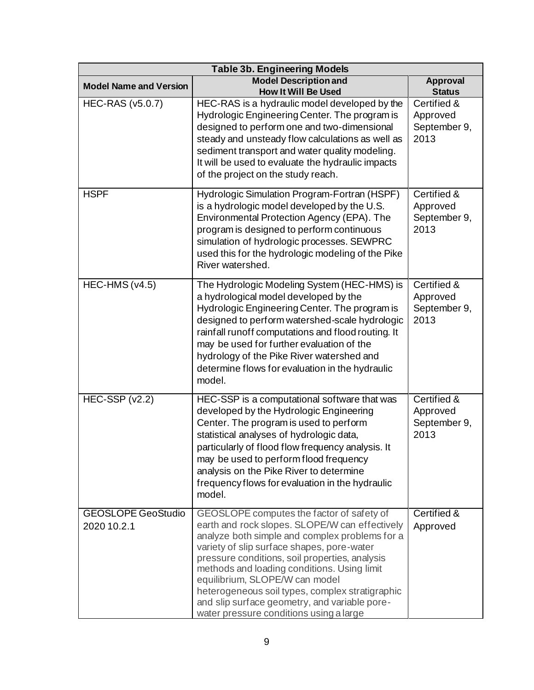| <b>Table 3b. Engineering Models</b>      |                                                                                                                                                                                                                                                                                                                                                                                                                                                                               |                                                 |  |
|------------------------------------------|-------------------------------------------------------------------------------------------------------------------------------------------------------------------------------------------------------------------------------------------------------------------------------------------------------------------------------------------------------------------------------------------------------------------------------------------------------------------------------|-------------------------------------------------|--|
| <b>Model Name and Version</b>            | <b>Model Description and</b><br><b>How It Will Be Used</b>                                                                                                                                                                                                                                                                                                                                                                                                                    | <b>Approval</b><br><b>Status</b>                |  |
| <b>HEC-RAS (v5.0.7)</b>                  | HEC-RAS is a hydraulic model developed by the<br>Hydrologic Engineering Center. The program is<br>designed to perform one and two-dimensional<br>steady and unsteady flow calculations as well as<br>sediment transport and water quality modeling.<br>It will be used to evaluate the hydraulic impacts<br>of the project on the study reach.                                                                                                                                | Certified &<br>Approved<br>September 9,<br>2013 |  |
| <b>HSPF</b>                              | Hydrologic Simulation Program-Fortran (HSPF)<br>is a hydrologic model developed by the U.S.<br>Environmental Protection Agency (EPA). The<br>program is designed to perform continuous<br>simulation of hydrologic processes. SEWPRC<br>used this for the hydrologic modeling of the Pike<br>River watershed.                                                                                                                                                                 | Certified &<br>Approved<br>September 9,<br>2013 |  |
| HEC-HMS (v4.5)                           | The Hydrologic Modeling System (HEC-HMS) is<br>a hydrological model developed by the<br>Hydrologic Engineering Center. The program is<br>designed to perform watershed-scale hydrologic<br>rainfall runoff computations and flood routing. It<br>may be used for further evaluation of the<br>hydrology of the Pike River watershed and<br>determine flows for evaluation in the hydraulic<br>model.                                                                          | Certified &<br>Approved<br>September 9,<br>2013 |  |
| HEC-SSP $(v2.2)$                         | HEC-SSP is a computational software that was<br>developed by the Hydrologic Engineering<br>Center. The program is used to perform<br>statistical analyses of hydrologic data,<br>particularly of flood flow frequency analysis. It<br>may be used to perform flood frequency<br>analysis on the Pike River to determine<br>frequency flows for evaluation in the hydraulic<br>model.                                                                                          | Certified &<br>Approved<br>September 9,<br>2013 |  |
| <b>GEOSLOPE GeoStudio</b><br>2020 10.2.1 | GEOSLOPE computes the factor of safety of<br>earth and rock slopes. SLOPE/W can effectively<br>analyze both simple and complex problems for a<br>variety of slip surface shapes, pore-water<br>pressure conditions, soil properties, analysis<br>methods and loading conditions. Using limit<br>equilibrium, SLOPE/W can model<br>heterogeneous soil types, complex stratigraphic<br>and slip surface geometry, and variable pore-<br>water pressure conditions using a large | Certified &<br>Approved                         |  |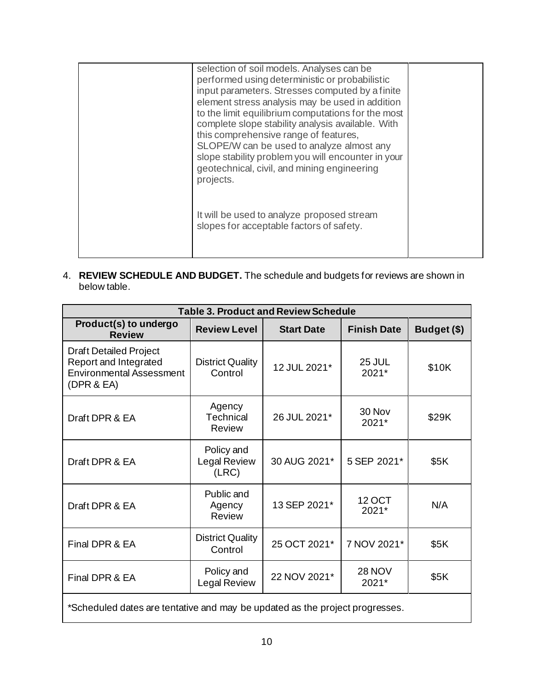| selection of soil models. Analyses can be<br>performed using deterministic or probabilistic<br>input parameters. Stresses computed by a finite<br>element stress analysis may be used in addition<br>to the limit equilibrium computations for the most<br>complete slope stability analysis available. With<br>this comprehensive range of features,<br>SLOPE/W can be used to analyze almost any<br>slope stability problem you will encounter in your<br>geotechnical, civil, and mining engineering<br>projects. |  |
|----------------------------------------------------------------------------------------------------------------------------------------------------------------------------------------------------------------------------------------------------------------------------------------------------------------------------------------------------------------------------------------------------------------------------------------------------------------------------------------------------------------------|--|
| It will be used to analyze proposed stream<br>slopes for acceptable factors of safety.                                                                                                                                                                                                                                                                                                                                                                                                                               |  |

4. **REVIEW SCHEDULE AND BUDGET.** The schedule and budgets for reviews are shown in below table.

| <b>Table 3. Product and Review Schedule</b>                                                             |                                      |                   |                        |             |
|---------------------------------------------------------------------------------------------------------|--------------------------------------|-------------------|------------------------|-------------|
| Product(s) to undergo<br><b>Review</b>                                                                  | <b>Review Level</b>                  | <b>Start Date</b> | <b>Finish Date</b>     | Budget (\$) |
| <b>Draft Detailed Project</b><br>Report and Integrated<br><b>Environmental Assessment</b><br>(DPR & EA) | <b>District Quality</b><br>Control   | 12 JUL 2021*      | 25 JUL<br>2021*        | \$10K       |
| Draft DPR & EA                                                                                          | Agency<br><b>Technical</b><br>Review | 26 JUL 2021*      | 30 Nov<br>2021*        | \$29K       |
| Draft DPR & EA                                                                                          | Policy and<br>Legal Review<br>(LRC)  | 30 AUG 2021*      | 5 SEP 2021*            | \$5K        |
| Draft DPR & EA                                                                                          | Public and<br>Agency<br>Review       | 13 SEP 2021*      | <b>12 OCT</b><br>2021* | N/A         |
| Final DPR & EA                                                                                          | <b>District Quality</b><br>Control   | 25 OCT 2021*      | 7 NOV 2021*            | \$5K        |
| Final DPR & EA                                                                                          | Policy and<br>Legal Review           | 22 NOV 2021*      | <b>28 NOV</b><br>2021* | \$5K        |
| *Scheduled dates are tentative and may be updated as the project progresses.                            |                                      |                   |                        |             |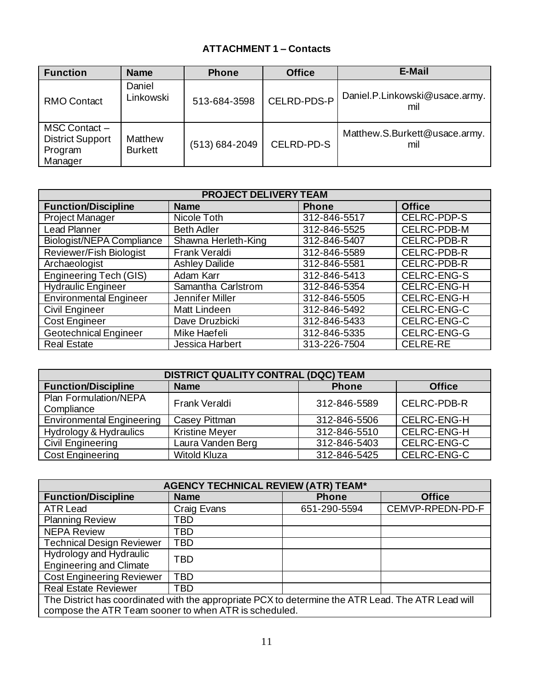### **ATTACHMENT 1 – Contacts**

| <b>Function</b>                                                | <b>Name</b>               | <b>Phone</b>       | <b>Office</b> | E-Mail                                |
|----------------------------------------------------------------|---------------------------|--------------------|---------------|---------------------------------------|
| <b>RMO Contact</b>                                             | Daniel<br>Linkowski       | 513-684-3598       | CELRD-PDS-P   | Daniel.P.Linkowski@usace.army.<br>mil |
| MSC Contact -<br><b>District Support</b><br>Program<br>Manager | Matthew<br><b>Burkett</b> | $(513) 684 - 2049$ | CELRD-PD-S    | Matthew.S.Burkett@usace.army.<br>mil  |

| <b>PROJECT DELIVERY TEAM</b>     |                       |              |                    |  |
|----------------------------------|-----------------------|--------------|--------------------|--|
| <b>Function/Discipline</b>       | <b>Name</b>           | <b>Phone</b> | <b>Office</b>      |  |
| <b>Project Manager</b>           | Nicole Toth           | 312-846-5517 | <b>CELRC-PDP-S</b> |  |
| <b>Lead Planner</b>              | <b>Beth Adler</b>     | 312-846-5525 | CELRC-PDB-M        |  |
| <b>Biologist/NEPA Compliance</b> | Shawna Herleth-King   | 312-846-5407 | <b>CELRC-PDB-R</b> |  |
| Reviewer/Fish Biologist          | Frank Veraldi         | 312-846-5589 | CELRC-PDB-R        |  |
| Archaeologist                    | <b>Ashley Dailide</b> | 312-846-5581 | <b>CELRC-PDB-R</b> |  |
| <b>Engineering Tech (GIS)</b>    | Adam Karr             | 312-846-5413 | <b>CELRC-ENG-S</b> |  |
| <b>Hydraulic Engineer</b>        | Samantha Carlstrom    | 312-846-5354 | <b>CELRC-ENG-H</b> |  |
| <b>Environmental Engineer</b>    | Jennifer Miller       | 312-846-5505 | CELRC-ENG-H        |  |
| <b>Civil Engineer</b>            | Matt Lindeen          | 312-846-5492 | CELRC-ENG-C        |  |
| <b>Cost Engineer</b>             | Dave Druzbicki        | 312-846-5433 | CELRC-ENG-C        |  |
| <b>Geotechnical Engineer</b>     | Mike Haefeli          | 312-846-5335 | CELRC-ENG-G        |  |
| <b>Real Estate</b>               | Jessica Harbert       | 313-226-7504 | <b>CELRE-RE</b>    |  |

| <b>DISTRICT QUALITY CONTRAL (DQC) TEAM</b> |                       |              |                    |  |  |
|--------------------------------------------|-----------------------|--------------|--------------------|--|--|
| <b>Function/Discipline</b>                 | <b>Name</b>           | <b>Phone</b> | <b>Office</b>      |  |  |
| Plan Formulation/NEPA<br>Compliance        | Frank Veraldi         | 312-846-5589 | <b>CELRC-PDB-R</b> |  |  |
| <b>Environmental Engineering</b>           | Casey Pittman         | 312-846-5506 | <b>CELRC-ENG-H</b> |  |  |
| Hydrology & Hydraulics                     | <b>Kristine Meyer</b> | 312-846-5510 | <b>CELRC-ENG-H</b> |  |  |
| Civil Engineering                          | Laura Vanden Berg     | 312-846-5403 | CELRC-ENG-C        |  |  |
| <b>Cost Engineering</b>                    | <b>Witold Kluza</b>   | 312-846-5425 | CELRC-ENG-C        |  |  |

| <b>AGENCY TECHNICAL REVIEW (ATR) TEAM*</b>                                                                                                                  |             |              |                  |  |  |
|-------------------------------------------------------------------------------------------------------------------------------------------------------------|-------------|--------------|------------------|--|--|
| <b>Function/Discipline</b>                                                                                                                                  | <b>Name</b> | <b>Phone</b> | <b>Office</b>    |  |  |
| <b>ATR Lead</b>                                                                                                                                             | Craig Evans | 651-290-5594 | CEMVP-RPEDN-PD-F |  |  |
| <b>Planning Review</b>                                                                                                                                      | TBD         |              |                  |  |  |
| <b>NEPA Review</b>                                                                                                                                          | TBD         |              |                  |  |  |
| <b>Technical Design Reviewer</b>                                                                                                                            | TBD         |              |                  |  |  |
| Hydrology and Hydraulic<br><b>Engineering and Climate</b>                                                                                                   | TBD         |              |                  |  |  |
| <b>Cost Engineering Reviewer</b>                                                                                                                            | <b>TBD</b>  |              |                  |  |  |
| <b>Real Estate Reviewer</b>                                                                                                                                 | TBD         |              |                  |  |  |
| The District has coordinated with the appropriate PCX to determine the ATR Lead. The ATR Lead will<br>compose the ATR Team sooner to when ATR is scheduled. |             |              |                  |  |  |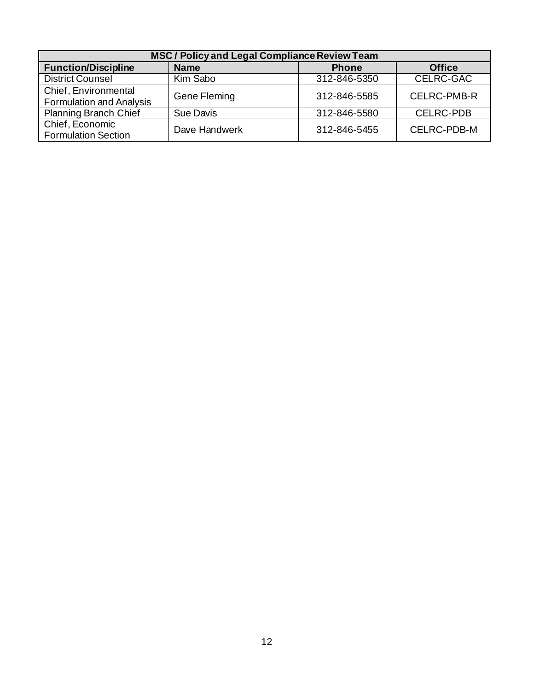| MSC / Policy and Legal Compliance Review Team           |               |              |                    |  |  |
|---------------------------------------------------------|---------------|--------------|--------------------|--|--|
| <b>Function/Discipline</b>                              | <b>Name</b>   | <b>Phone</b> | <b>Office</b>      |  |  |
| <b>District Counsel</b>                                 | Kim Sabo      | 312-846-5350 | <b>CELRC-GAC</b>   |  |  |
| Chief, Environmental<br><b>Formulation and Analysis</b> | Gene Fleming  | 312-846-5585 | <b>CELRC-PMB-R</b> |  |  |
| <b>Planning Branch Chief</b>                            | Sue Davis     | 312-846-5580 | <b>CELRC-PDB</b>   |  |  |
| Chief, Economic<br><b>Formulation Section</b>           | Dave Handwerk | 312-846-5455 | CELRC-PDB-M        |  |  |